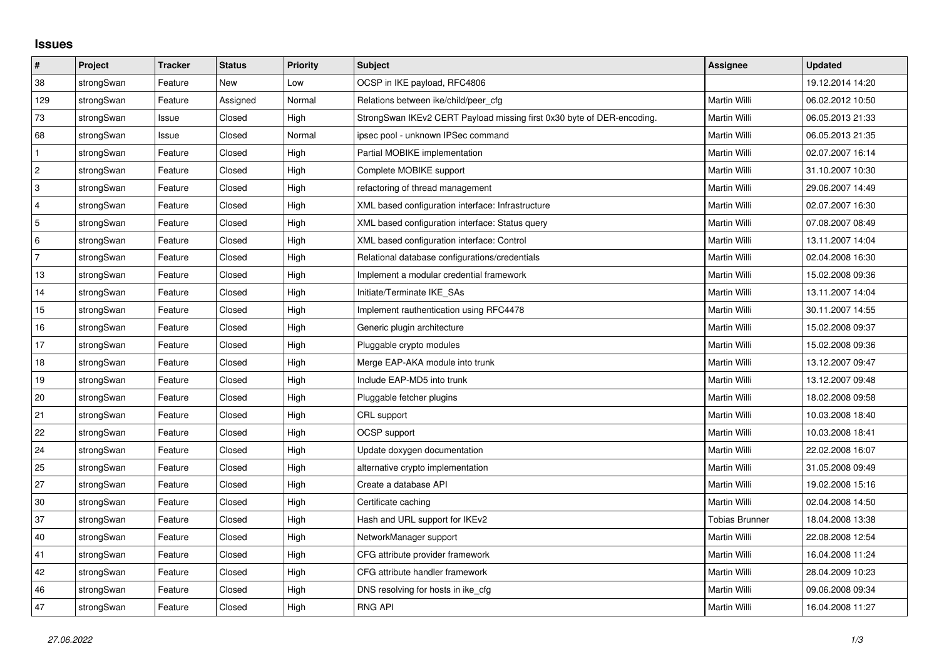## **Issues**

| #              | Project    | <b>Tracker</b> | <b>Status</b> | <b>Priority</b> | <b>Subject</b>                                                         | <b>Assignee</b> | <b>Updated</b>   |
|----------------|------------|----------------|---------------|-----------------|------------------------------------------------------------------------|-----------------|------------------|
| 38             | strongSwan | Feature        | New           | Low             | OCSP in IKE payload, RFC4806                                           |                 | 19.12.2014 14:20 |
| 129            | strongSwan | Feature        | Assigned      | Normal          | Relations between ike/child/peer cfg                                   | Martin Willi    | 06.02.2012 10:50 |
| 73             | strongSwan | Issue          | Closed        | High            | StrongSwan IKEv2 CERT Payload missing first 0x30 byte of DER-encoding. | Martin Willi    | 06.05.2013 21:33 |
| 68             | strongSwan | Issue          | Closed        | Normal          | ipsec pool - unknown IPSec command                                     | Martin Willi    | 06.05.2013 21:35 |
| $\mathbf{1}$   | strongSwan | Feature        | Closed        | High            | Partial MOBIKE implementation                                          | Martin Willi    | 02.07.2007 16:14 |
| $\vert$ 2      | strongSwan | Feature        | Closed        | High            | Complete MOBIKE support                                                | Martin Willi    | 31.10.2007 10:30 |
| 3              | strongSwan | Feature        | Closed        | High            | refactoring of thread management                                       | Martin Willi    | 29.06.2007 14:49 |
| $\overline{4}$ | strongSwan | Feature        | Closed        | High            | XML based configuration interface: Infrastructure                      | Martin Willi    | 02.07.2007 16:30 |
| 5              | strongSwan | Feature        | Closed        | High            | XML based configuration interface: Status query                        | Martin Willi    | 07.08.2007 08:49 |
| 6              | strongSwan | Feature        | Closed        | High            | XML based configuration interface: Control                             | Martin Willi    | 13.11.2007 14:04 |
| $\overline{7}$ | strongSwan | Feature        | Closed        | High            | Relational database configurations/credentials                         | Martin Willi    | 02.04.2008 16:30 |
| 13             | strongSwan | Feature        | Closed        | High            | Implement a modular credential framework                               | Martin Willi    | 15.02.2008 09:36 |
| 14             | strongSwan | Feature        | Closed        | High            | Initiate/Terminate IKE_SAs                                             | Martin Willi    | 13.11.2007 14:04 |
| 15             | strongSwan | Feature        | Closed        | High            | Implement rauthentication using RFC4478                                | Martin Willi    | 30.11.2007 14:55 |
| 16             | strongSwan | Feature        | Closed        | High            | Generic plugin architecture                                            | Martin Willi    | 15.02.2008 09:37 |
| 17             | strongSwan | Feature        | Closed        | High            | Pluggable crypto modules                                               | Martin Willi    | 15.02.2008 09:36 |
| 18             | strongSwan | Feature        | Closed        | High            | Merge EAP-AKA module into trunk                                        | Martin Willi    | 13.12.2007 09:47 |
| 19             | strongSwan | Feature        | Closed        | High            | Include EAP-MD5 into trunk                                             | Martin Willi    | 13.12.2007 09:48 |
| 20             | strongSwan | Feature        | Closed        | High            | Pluggable fetcher plugins                                              | Martin Willi    | 18.02.2008 09:58 |
| 21             | strongSwan | Feature        | Closed        | High            | CRL support                                                            | Martin Willi    | 10.03.2008 18:40 |
| 22             | strongSwan | Feature        | Closed        | High            | OCSP support                                                           | Martin Willi    | 10.03.2008 18:41 |
| 24             | strongSwan | Feature        | Closed        | High            | Update doxygen documentation                                           | Martin Willi    | 22.02.2008 16:07 |
| 25             | strongSwan | Feature        | Closed        | High            | alternative crypto implementation                                      | Martin Willi    | 31.05.2008 09:49 |
| 27             | strongSwan | Feature        | Closed        | High            | Create a database API                                                  | Martin Willi    | 19.02.2008 15:16 |
| 30             | strongSwan | Feature        | Closed        | High            | Certificate caching                                                    | Martin Willi    | 02.04.2008 14:50 |
| 37             | strongSwan | Feature        | Closed        | High            | Hash and URL support for IKEv2                                         | Tobias Brunner  | 18.04.2008 13:38 |
| 40             | strongSwan | Feature        | Closed        | High            | NetworkManager support                                                 | Martin Willi    | 22.08.2008 12:54 |
| 41             | strongSwan | Feature        | Closed        | High            | CFG attribute provider framework                                       | Martin Willi    | 16.04.2008 11:24 |
| 42             | strongSwan | Feature        | Closed        | High            | CFG attribute handler framework                                        | Martin Willi    | 28.04.2009 10:23 |
| 46             | strongSwan | Feature        | Closed        | High            | DNS resolving for hosts in ike_cfg                                     | Martin Willi    | 09.06.2008 09:34 |
| 47             | strongSwan | Feature        | Closed        | High            | <b>RNG API</b>                                                         | Martin Willi    | 16.04.2008 11:27 |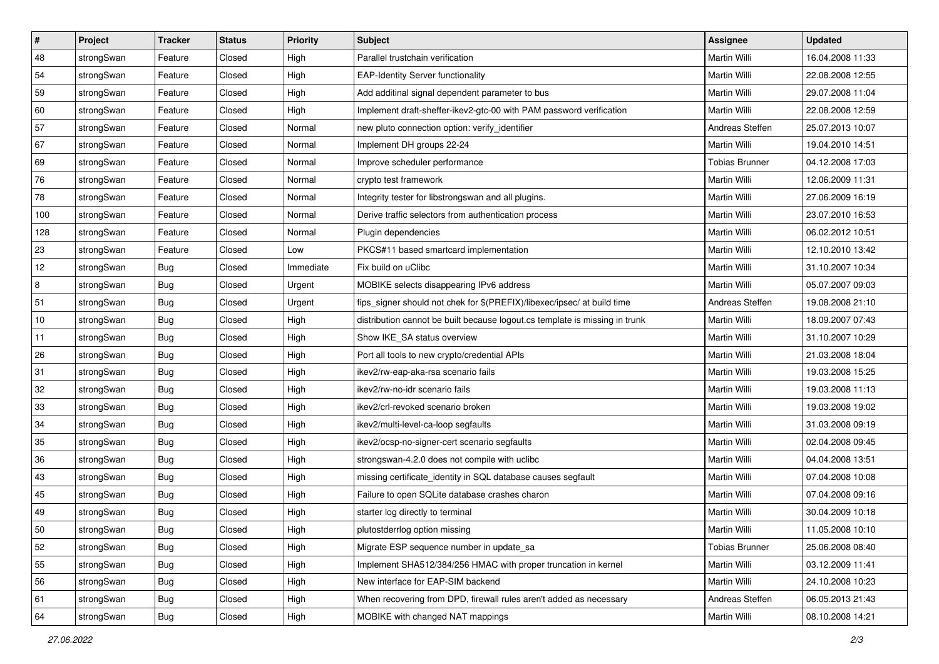| $\vert$ # | Project    | <b>Tracker</b> | <b>Status</b> | Priority  | <b>Subject</b>                                                              | <b>Assignee</b>       | <b>Updated</b>   |
|-----------|------------|----------------|---------------|-----------|-----------------------------------------------------------------------------|-----------------------|------------------|
| 48        | strongSwan | Feature        | Closed        | High      | Parallel trustchain verification                                            | Martin Willi          | 16.04.2008 11:33 |
| 54        | strongSwan | Feature        | Closed        | High      | <b>EAP-Identity Server functionality</b>                                    | Martin Willi          | 22.08.2008 12:55 |
| 59        | strongSwan | Feature        | Closed        | High      | Add additinal signal dependent parameter to bus                             | Martin Willi          | 29.07.2008 11:04 |
| 60        | strongSwan | Feature        | Closed        | High      | Implement draft-sheffer-ikev2-gtc-00 with PAM password verification         | Martin Willi          | 22.08.2008 12:59 |
| 57        | strongSwan | Feature        | Closed        | Normal    | new pluto connection option: verify_identifier                              | Andreas Steffen       | 25.07.2013 10:07 |
| 67        | strongSwan | Feature        | Closed        | Normal    | Implement DH groups 22-24                                                   | Martin Willi          | 19.04.2010 14:51 |
| 69        | strongSwan | Feature        | Closed        | Normal    | Improve scheduler performance                                               | <b>Tobias Brunner</b> | 04.12.2008 17:03 |
| 76        | strongSwan | Feature        | Closed        | Normal    | crypto test framework                                                       | Martin Willi          | 12.06.2009 11:31 |
| 78        | strongSwan | Feature        | Closed        | Normal    | Integrity tester for libstrongswan and all plugins.                         | Martin Willi          | 27.06.2009 16:19 |
| 100       | strongSwan | Feature        | Closed        | Normal    | Derive traffic selectors from authentication process                        | Martin Willi          | 23.07.2010 16:53 |
| 128       | strongSwan | Feature        | Closed        | Normal    | Plugin dependencies                                                         | Martin Willi          | 06.02.2012 10:51 |
| 23        | strongSwan | Feature        | Closed        | Low       | PKCS#11 based smartcard implementation                                      | <b>Martin Willi</b>   | 12.10.2010 13:42 |
| 12        | strongSwan | Bug            | Closed        | Immediate | Fix build on uClibc                                                         | Martin Willi          | 31.10.2007 10:34 |
| 8         | strongSwan | Bug            | Closed        | Urgent    | MOBIKE selects disappearing IPv6 address                                    | Martin Willi          | 05.07.2007 09:03 |
| 51        | strongSwan | <b>Bug</b>     | Closed        | Urgent    | fips_signer should not chek for \$(PREFIX)/libexec/ipsec/ at build time     | Andreas Steffen       | 19.08.2008 21:10 |
| $10$      | strongSwan | <b>Bug</b>     | Closed        | High      | distribution cannot be built because logout.cs template is missing in trunk | Martin Willi          | 18.09.2007 07:43 |
| 11        | strongSwan | <b>Bug</b>     | Closed        | High      | Show IKE_SA status overview                                                 | Martin Willi          | 31.10.2007 10:29 |
| 26        | strongSwan | <b>Bug</b>     | Closed        | High      | Port all tools to new crypto/credential APIs                                | Martin Willi          | 21.03.2008 18:04 |
| 31        | strongSwan | Bug            | Closed        | High      | ikev2/rw-eap-aka-rsa scenario fails                                         | Martin Willi          | 19.03.2008 15:25 |
| 32        | strongSwan | Bug            | Closed        | High      | ikev2/rw-no-idr scenario fails                                              | Martin Willi          | 19.03.2008 11:13 |
| 33        | strongSwan | <b>Bug</b>     | Closed        | High      | ikev2/crl-revoked scenario broken                                           | Martin Willi          | 19.03.2008 19:02 |
| 34        | strongSwan | <b>Bug</b>     | Closed        | High      | ikev2/multi-level-ca-loop segfaults                                         | Martin Willi          | 31.03.2008 09:19 |
| 35        | strongSwan | <b>Bug</b>     | Closed        | High      | ikev2/ocsp-no-signer-cert scenario segfaults                                | Martin Willi          | 02.04.2008 09:45 |
| 36        | strongSwan | <b>Bug</b>     | Closed        | High      | strongswan-4.2.0 does not compile with uclibc                               | Martin Willi          | 04.04.2008 13:51 |
| 43        | strongSwan | Bug            | Closed        | High      | missing certificate_identity in SQL database causes segfault                | Martin Willi          | 07.04.2008 10:08 |
| 45        | strongSwan | <b>Bug</b>     | Closed        | High      | Failure to open SQLite database crashes charon                              | Martin Willi          | 07.04.2008 09:16 |
| 49        | strongSwan | <b>Bug</b>     | Closed        | High      | starter log directly to terminal                                            | Martin Willi          | 30.04.2009 10:18 |
| $50\,$    | strongSwan | Bug            | Closed        | High      | plutostderrlog option missing                                               | Martin Willi          | 11.05.2008 10:10 |
| 52        | strongSwan | Bug            | Closed        | High      | Migrate ESP sequence number in update sa                                    | <b>Tobias Brunner</b> | 25.06.2008 08:40 |
| 55        | strongSwan | Bug            | Closed        | High      | Implement SHA512/384/256 HMAC with proper truncation in kernel              | Martin Willi          | 03.12.2009 11:41 |
| 56        | strongSwan | Bug            | Closed        | High      | New interface for EAP-SIM backend                                           | Martin Willi          | 24.10.2008 10:23 |
| 61        | strongSwan | Bug            | Closed        | High      | When recovering from DPD, firewall rules aren't added as necessary          | Andreas Steffen       | 06.05.2013 21:43 |
| 64        | strongSwan | Bug            | Closed        | High      | MOBIKE with changed NAT mappings                                            | Martin Willi          | 08.10.2008 14:21 |